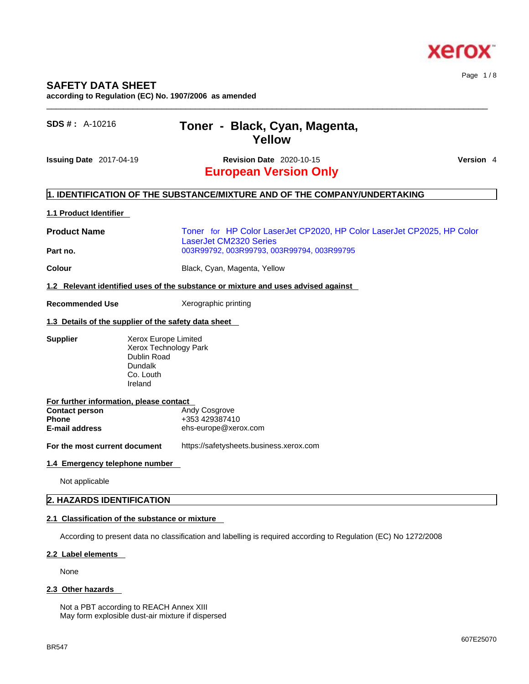# **Xerox**

## **SAFETY DATA SHEET**

**according to Regulation (EC) No. 1907/2006 as amended** 

| <b>SDS #:</b> $A-10216$                                        | Toner - Black, Cyan, Magenta,<br>Yellow                                                                                                               |           |
|----------------------------------------------------------------|-------------------------------------------------------------------------------------------------------------------------------------------------------|-----------|
| Issuing Date 2017-04-19                                        | <b>Revision Date 2020-10-15</b><br><b>European Version Only</b>                                                                                       | Version 4 |
|                                                                | 1. IDENTIFICATION OF THE SUBSTANCE/MIXTURE AND OF THE COMPANY/UNDERTAKING                                                                             |           |
| 1.1 Product Identifier                                         |                                                                                                                                                       |           |
| <b>Product Name</b><br>Part no.                                | Toner for HP Color LaserJet CP2020, HP Color LaserJet CP2025, HP Color<br><b>LaserJet CM2320 Series</b><br>003R99792, 003R99793, 003R99794, 003R99795 |           |
| Colour                                                         | Black, Cyan, Magenta, Yellow                                                                                                                          |           |
|                                                                | 1.2 Relevant identified uses of the substance or mixture and uses advised against                                                                     |           |
| <b>Recommended Use</b>                                         | Xerographic printing                                                                                                                                  |           |
|                                                                | 1.3 Details of the supplier of the safety data sheet                                                                                                  |           |
| <b>Supplier</b>                                                | Xerox Europe Limited<br>Xerox Technology Park<br>Dublin Road<br>Dundalk<br>Co. Louth<br>Ireland                                                       |           |
| For further information, please contact                        |                                                                                                                                                       |           |
| <b>Contact person</b><br><b>Phone</b><br><b>E-mail address</b> | Andy Cosgrove<br>+353 429387410<br>ehs-europe@xerox.com                                                                                               |           |
| For the most current document                                  | https://safetysheets.business.xerox.com                                                                                                               |           |
| 1.4 Emergency telephone number                                 |                                                                                                                                                       |           |
| Not applicable                                                 |                                                                                                                                                       |           |
| 2. HAZARDS IDENTIFICATION                                      |                                                                                                                                                       |           |

 $\_$  ,  $\_$  ,  $\_$  ,  $\_$  ,  $\_$  ,  $\_$  ,  $\_$  ,  $\_$  ,  $\_$  ,  $\_$  ,  $\_$  ,  $\_$  ,  $\_$  ,  $\_$  ,  $\_$  ,  $\_$  ,  $\_$  ,  $\_$  ,  $\_$  ,  $\_$  ,  $\_$  ,  $\_$  ,  $\_$  ,  $\_$  ,  $\_$  ,  $\_$  ,  $\_$  ,  $\_$  ,  $\_$  ,  $\_$  ,  $\_$  ,  $\_$  ,  $\_$  ,  $\_$  ,  $\_$  ,  $\_$  ,  $\_$  ,

### **2.1 Classification of the substance or mixture**

According to present data no classification and labelling is required according to Regulation (EC) No 1272/2008

#### **2.2 Label elements**

None

### **2.3 Other hazards**

Not a PBT according to REACH Annex XIII May form explosible dust-air mixture if dispersed Page 1 / 8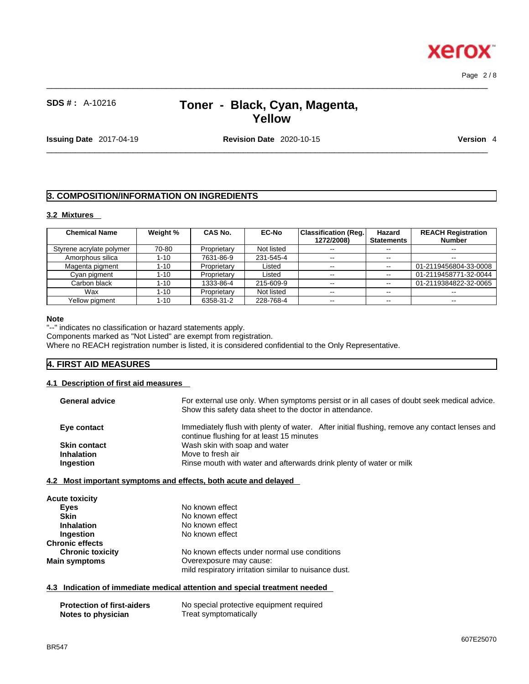Page 2 / 8

**Xerox** 

## **SDS # :** A-10216 **Toner - Black, Cyan, Magenta, Yellow**

 $\_$  ,  $\_$  ,  $\_$  ,  $\_$  ,  $\_$  ,  $\_$  ,  $\_$  ,  $\_$  ,  $\_$  ,  $\_$  ,  $\_$  ,  $\_$  ,  $\_$  ,  $\_$  ,  $\_$  ,  $\_$  ,  $\_$  ,  $\_$  ,  $\_$  ,  $\_$  ,  $\_$  ,  $\_$  ,  $\_$  ,  $\_$  ,  $\_$  ,  $\_$  ,  $\_$  ,  $\_$  ,  $\_$  ,  $\_$  ,  $\_$  ,  $\_$  ,  $\_$  ,  $\_$  ,  $\_$  ,  $\_$  ,  $\_$  ,

**Issuing Date** 2017-04-19 **Revision Date** 2020-10-15 **Version** 4

 $\_$  ,  $\_$  ,  $\_$  ,  $\_$  ,  $\_$  ,  $\_$  ,  $\_$  ,  $\_$  ,  $\_$  ,  $\_$  ,  $\_$  ,  $\_$  ,  $\_$  ,  $\_$  ,  $\_$  ,  $\_$  ,  $\_$  ,  $\_$  ,  $\_$  ,  $\_$  ,  $\_$  ,  $\_$  ,  $\_$  ,  $\_$  ,  $\_$  ,  $\_$  ,  $\_$  ,  $\_$  ,  $\_$  ,  $\_$  ,  $\_$  ,  $\_$  ,  $\_$  ,  $\_$  ,  $\_$  ,  $\_$  ,  $\_$  ,

## **3. COMPOSITION/INFORMATION ON INGREDIENTS**

## **3.2 Mixtures**

| <b>Chemical Name</b>     | Weight % | CAS No.     | <b>EC-No</b> | Classification (Reg.)<br>1272/2008) | Hazard<br><b>Statements</b> | <b>REACH Registration</b><br><b>Number</b> |
|--------------------------|----------|-------------|--------------|-------------------------------------|-----------------------------|--------------------------------------------|
| Styrene acrylate polymer | 70-80    | Proprietary | Not listed   | $\sim$ $\sim$                       | $- -$                       | $- -$                                      |
| Amorphous silica         | $1 - 10$ | 7631-86-9   | 231-545-4    | $\sim$ $\sim$                       | $-1$                        | $-$                                        |
| Magenta pigment          | $1 - 10$ | Proprietary | Listed       | $\sim$ $-$                          | $\sim$ $\sim$               | 01-2119456804-33-0008                      |
| Cyan pigment             | $1 - 10$ | Proprietary | Listed       | --                                  | $\sim$ $\sim$               | 01-2119458771-32-0044                      |
| Carbon black             | $1 - 10$ | 1333-86-4   | 215-609-9    | $\sim$ $\sim$                       | $\sim$ $\sim$               | 01-2119384822-32-0065                      |
| Wax                      | $1 - 10$ | Proprietary | Not listed   | $\sim$ $\sim$                       | $-1$                        | $- -$                                      |
| Yellow pigment           | $1 - 10$ | 6358-31-2   | 228-768-4    | $\overline{\phantom{m}}$            | $\sim$ $\sim$               | $\overline{\phantom{m}}$                   |

#### **Note**

"--" indicates no classification or hazard statements apply.

Components marked as "Not Listed" are exempt from registration.

Where no REACH registration number is listed, it is considered confidential to the Only Representative.

## **4. FIRST AID MEASURES**

#### **4.1 Description of first aid measures**

| <b>General advice</b> | For external use only. When symptoms persist or in all cases of doubt seek medical advice.<br>Show this safety data sheet to the doctor in attendance. |
|-----------------------|--------------------------------------------------------------------------------------------------------------------------------------------------------|
| Eye contact           | Immediately flush with plenty of water. After initial flushing, remove any contact lenses and<br>continue flushing for at least 15 minutes             |
| <b>Skin contact</b>   | Wash skin with soap and water                                                                                                                          |
| <b>Inhalation</b>     | Move to fresh air                                                                                                                                      |
| Ingestion             | Rinse mouth with water and afterwards drink plenty of water or milk                                                                                    |

### **4.2 Most important symptoms and effects, both acute and delayed**

| <b>Acute toxicity</b>   |                                                       |
|-------------------------|-------------------------------------------------------|
| Eyes                    | No known effect                                       |
| <b>Skin</b>             | No known effect                                       |
| <b>Inhalation</b>       | No known effect                                       |
| Ingestion               | No known effect                                       |
| <b>Chronic effects</b>  |                                                       |
| <b>Chronic toxicity</b> | No known effects under normal use conditions          |
| <b>Main symptoms</b>    | Overexposure may cause:                               |
|                         | mild respiratory irritation similar to nuisance dust. |

## **4.3 Indication of immediate medical attention and special treatment needed**

| <b>Protection of first-aiders</b> | No special protective equipment required |
|-----------------------------------|------------------------------------------|
| Notes to physician                | Treat symptomatically                    |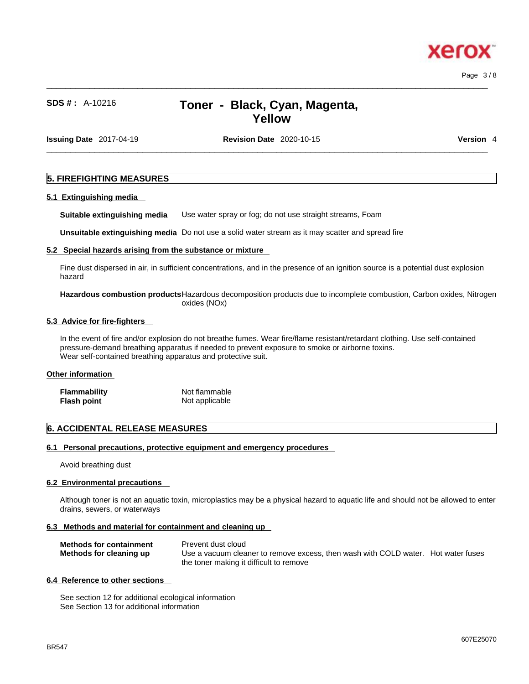xerc

## **SDS # :** A-10216 **Toner - Black, Cyan, Magenta, Yellow**

 $\_$  ,  $\_$  ,  $\_$  ,  $\_$  ,  $\_$  ,  $\_$  ,  $\_$  ,  $\_$  ,  $\_$  ,  $\_$  ,  $\_$  ,  $\_$  ,  $\_$  ,  $\_$  ,  $\_$  ,  $\_$  ,  $\_$  ,  $\_$  ,  $\_$  ,  $\_$  ,  $\_$  ,  $\_$  ,  $\_$  ,  $\_$  ,  $\_$  ,  $\_$  ,  $\_$  ,  $\_$  ,  $\_$  ,  $\_$  ,  $\_$  ,  $\_$  ,  $\_$  ,  $\_$  ,  $\_$  ,  $\_$  ,  $\_$  ,

**Issuing Date** 2017-04-19 **Revision Date** 2020-10-15 **Version** 4

 $\_$  ,  $\_$  ,  $\_$  ,  $\_$  ,  $\_$  ,  $\_$  ,  $\_$  ,  $\_$  ,  $\_$  ,  $\_$  ,  $\_$  ,  $\_$  ,  $\_$  ,  $\_$  ,  $\_$  ,  $\_$  ,  $\_$  ,  $\_$  ,  $\_$  ,  $\_$  ,  $\_$  ,  $\_$  ,  $\_$  ,  $\_$  ,  $\_$  ,  $\_$  ,  $\_$  ,  $\_$  ,  $\_$  ,  $\_$  ,  $\_$  ,  $\_$  ,  $\_$  ,  $\_$  ,  $\_$  ,  $\_$  ,  $\_$  ,

## **5. FIREFIGHTING MEASURES**

## **5.1 Extinguishing media**

**Suitable extinguishing media** Use water spray or fog; do not use straight streams, Foam

**Unsuitable extinguishing media** Do not use a solid water stream as it may scatterand spread fire

## **5.2 Special hazards arising from the substance or mixture**

Fine dust dispersed in air, in sufficient concentrations, and in the presence of an ignition source is a potential dust explosion hazard

**Hazardous combustion products**Hazardous decomposition products due to incomplete combustion, Carbon oxides, Nitrogen oxides (NOx)

## **5.3 Advice for fire-fighters**

In the event of fire and/or explosion do not breathe fumes. Wear fire/flame resistant/retardant clothing. Use self-contained pressure-demand breathing apparatus if needed to prevent exposure to smoke or airborne toxins. Wear self-contained breathing apparatus and protective suit.

## **Other information**

| Flammability | Not flammable  |
|--------------|----------------|
| Flash point  | Not applicable |

## **6. ACCIDENTAL RELEASE MEASURES**

## **6.1 Personal precautions, protective equipment and emergency procedures**

Avoid breathing dust

## **6.2 Environmental precautions**

Although toner is not an aquatic toxin, microplastics may be a physical hazard to aquatic life and should not be allowed to enter drains, sewers, or waterways

## **6.3 Methods and material for containment and cleaning up**

| <b>Methods for containment</b> | Prevent dust cloud                                                                |  |
|--------------------------------|-----------------------------------------------------------------------------------|--|
| Methods for cleaning up        | Use a vacuum cleaner to remove excess, then wash with COLD water. Hot water fuses |  |
|                                | the toner making it difficult to remove                                           |  |

## **6.4 Reference to other sections**

See section 12 for additional ecological information See Section 13 for additional information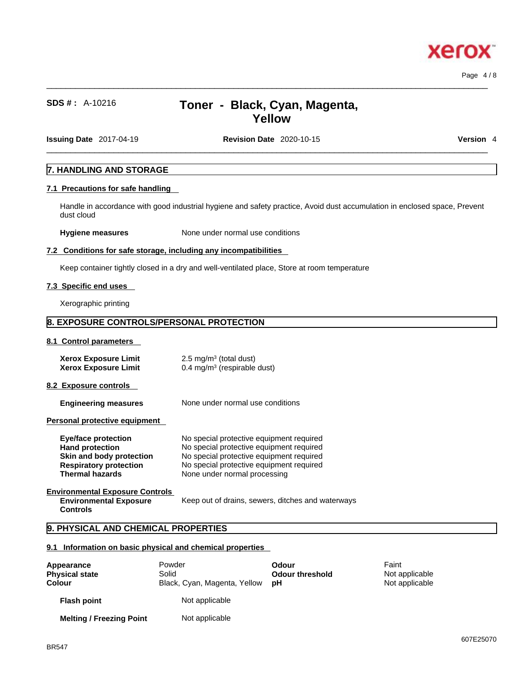## $\_$  ,  $\_$  ,  $\_$  ,  $\_$  ,  $\_$  ,  $\_$  ,  $\_$  ,  $\_$  ,  $\_$  ,  $\_$  ,  $\_$  ,  $\_$  ,  $\_$  ,  $\_$  ,  $\_$  ,  $\_$  ,  $\_$  ,  $\_$  ,  $\_$  ,  $\_$  ,  $\_$  ,  $\_$  ,  $\_$  ,  $\_$  ,  $\_$  ,  $\_$  ,  $\_$  ,  $\_$  ,  $\_$  ,  $\_$  ,  $\_$  ,  $\_$  ,  $\_$  ,  $\_$  ,  $\_$  ,  $\_$  ,  $\_$  ,

## **SDS # :** A-10216 **Toner - Black, Cyan, Magenta, Yellow**

**Issuing Date** 2017-04-19 **Revision Date** 2020-10-15 **Version** 4

 $\_$  ,  $\_$  ,  $\_$  ,  $\_$  ,  $\_$  ,  $\_$  ,  $\_$  ,  $\_$  ,  $\_$  ,  $\_$  ,  $\_$  ,  $\_$  ,  $\_$  ,  $\_$  ,  $\_$  ,  $\_$  ,  $\_$  ,  $\_$  ,  $\_$  ,  $\_$  ,  $\_$  ,  $\_$  ,  $\_$  ,  $\_$  ,  $\_$  ,  $\_$  ,  $\_$  ,  $\_$  ,  $\_$  ,  $\_$  ,  $\_$  ,  $\_$  ,  $\_$  ,  $\_$  ,  $\_$  ,  $\_$  ,  $\_$  ,

Page 4 / 8

xero

## **7. HANDLING AND STORAGE**

## **7.1 Precautions for safe handling**

Handle in accordance with good industrial hygiene and safety practice, Avoid dust accumulation in enclosed space, Prevent dust cloud

**Hygiene measures** None under normal use conditions

#### **7.2 Conditions for safe storage, including any incompatibilities**

Keep container tightly closed in a dry and well-ventilated place, Store at room temperature

#### **7.3 Specific end uses**

Xerographic printing

## **8. EXPOSURE CONTROLS/PERSONAL PROTECTION**

**8.1 Control parameters** 

| <b>Xerox Exposure Limit</b> | $2.5 \text{ mg/m}^3$ (total dust)      |
|-----------------------------|----------------------------------------|
| <b>Xerox Exposure Limit</b> | $0.4 \text{ mg/m}^3$ (respirable dust) |

**8.2 Exposure controls** 

**Engineering measures** None under normal use conditions

**Personal protective equipment** 

| Eye/face protection           | No special protective equipment required |
|-------------------------------|------------------------------------------|
| <b>Hand protection</b>        | No special protective equipment required |
| Skin and body protection      | No special protective equipment required |
| <b>Respiratory protection</b> | No special protective equipment required |
| <b>Thermal hazards</b>        | None under normal processing             |
|                               |                                          |

**Environmental Exposure Controls Environmental Exposure Controls** 

Keep out of drains, sewers, ditches and waterways

## **9. PHYSICAL AND CHEMICAL PROPERTIES**

## **9.1 Information on basic physical and chemical properties**

| Appearance<br><b>Physical state</b><br><b>Colour</b> | Powder<br>Solid<br>Black, Cyan, Magenta, Yellow | Odour<br><b>Odour threshold</b><br>рH | Faint<br>Not applicable<br>Not applicable |  |
|------------------------------------------------------|-------------------------------------------------|---------------------------------------|-------------------------------------------|--|
| <b>Flash point</b>                                   | Not applicable                                  |                                       |                                           |  |
| <b>Melting / Freezing Point</b>                      | Not applicable                                  |                                       |                                           |  |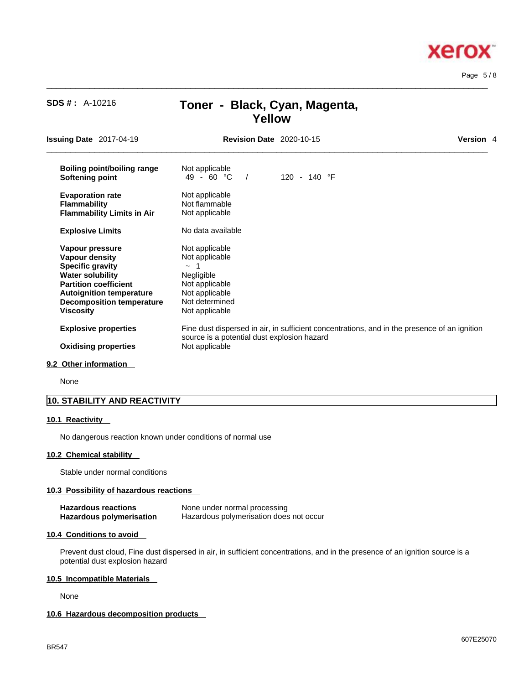## $\_$  ,  $\_$  ,  $\_$  ,  $\_$  ,  $\_$  ,  $\_$  ,  $\_$  ,  $\_$  ,  $\_$  ,  $\_$  ,  $\_$  ,  $\_$  ,  $\_$  ,  $\_$  ,  $\_$  ,  $\_$  ,  $\_$  ,  $\_$  ,  $\_$  ,  $\_$  ,  $\_$  ,  $\_$  ,  $\_$  ,  $\_$  ,  $\_$  ,  $\_$  ,  $\_$  ,  $\_$  ,  $\_$  ,  $\_$  ,  $\_$  ,  $\_$  ,  $\_$  ,  $\_$  ,  $\_$  ,  $\_$  ,  $\_$  , **Issuing Date** 2017-04-19 **Revision Date** 2020-10-15 **Version** 4 **Boiling point/boiling range** Not applicable<br> **Softening point**  $49 - 60 °C$  / **Softening point** 49 - 60 °C / 120 - 140 °F **Evaporation rate Reserve Show Not applicable**<br> **Flammability Not flammable Flammability**<br>**Flammability Limits in Air** Not applicable **Flammability Limits in Air Explosive Limits** No data available **Vapour pressure** Not applicable<br> **Vapour density** Not applicable **Vapour density Specific gravity**  $\sim$  1<br> **Water solubility** Megligible **Water solubility Partition coefficient** Not applicable<br> **Autoignition temperature** Not applicable **Autoignition temperature** Not applicable<br>**Decomposition temperature** Not determined **Decomposition temperature Viscosity Not applicable Explosive properties** Fine dust dispersed in air, in sufficient concentrations, and in the presence of an ignition source is a potential dust explosion hazard **Oxidising properties** Not applicable

**Yellow**

 $\_$  ,  $\_$  ,  $\_$  ,  $\_$  ,  $\_$  ,  $\_$  ,  $\_$  ,  $\_$  ,  $\_$  ,  $\_$  ,  $\_$  ,  $\_$  ,  $\_$  ,  $\_$  ,  $\_$  ,  $\_$  ,  $\_$  ,  $\_$  ,  $\_$  ,  $\_$  ,  $\_$  ,  $\_$  ,  $\_$  ,  $\_$  ,  $\_$  ,  $\_$  ,  $\_$  ,  $\_$  ,  $\_$  ,  $\_$  ,  $\_$  ,  $\_$  ,  $\_$  ,  $\_$  ,  $\_$  ,  $\_$  ,  $\_$  ,

#### **9.2 Other information**

None

## **10. STABILITY AND REACTIVITY**

#### **10.1 Reactivity**

No dangerous reaction known under conditions of normal use

#### **10.2 Chemical stability**

Stable under normal conditions

#### **10.3 Possibility of hazardous reactions**

| <b>Hazardous reactions</b>      | None under normal processing            |
|---------------------------------|-----------------------------------------|
| <b>Hazardous polymerisation</b> | Hazardous polymerisation does not occur |

**SDS # :** A-10216 **Toner - Black, Cyan, Magenta,** 

#### **10.4 Conditions to avoid**

Prevent dust cloud, Fine dust dispersed in air, in sufficient concentrations, and in the presence of an ignition source is a potential dust explosion hazard

#### **10.5 Incompatible Materials**

None

## **10.6 Hazardous decomposition products**

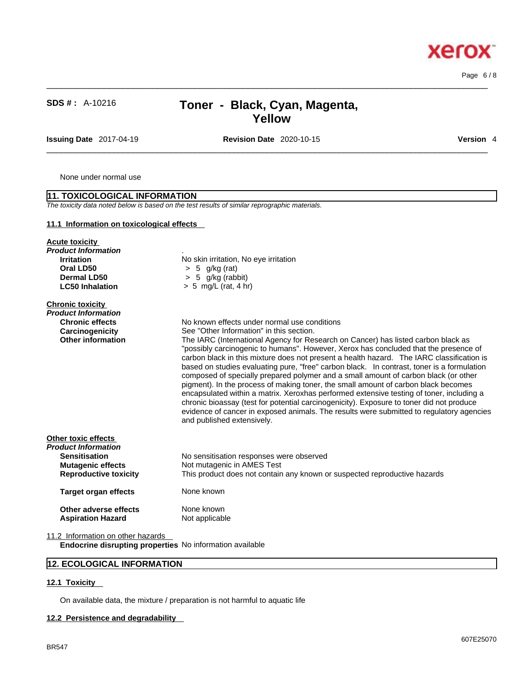Page 6 / 8

**Xerox** 

## **SDS # :** A-10216 **Toner - Black, Cyan, Magenta, Yellow**

**Issuing Date** 2017-04-19 **Revision Date** 2020-10-15 **Version** 4

 $\_$  ,  $\_$  ,  $\_$  ,  $\_$  ,  $\_$  ,  $\_$  ,  $\_$  ,  $\_$  ,  $\_$  ,  $\_$  ,  $\_$  ,  $\_$  ,  $\_$  ,  $\_$  ,  $\_$  ,  $\_$  ,  $\_$  ,  $\_$  ,  $\_$  ,  $\_$  ,  $\_$  ,  $\_$  ,  $\_$  ,  $\_$  ,  $\_$  ,  $\_$  ,  $\_$  ,  $\_$  ,  $\_$  ,  $\_$  ,  $\_$  ,  $\_$  ,  $\_$  ,  $\_$  ,  $\_$  ,  $\_$  ,  $\_$  ,

 $\_$  ,  $\_$  ,  $\_$  ,  $\_$  ,  $\_$  ,  $\_$  ,  $\_$  ,  $\_$  ,  $\_$  ,  $\_$  ,  $\_$  ,  $\_$  ,  $\_$  ,  $\_$  ,  $\_$  ,  $\_$  ,  $\_$  ,  $\_$  ,  $\_$  ,  $\_$  ,  $\_$  ,  $\_$  ,  $\_$  ,  $\_$  ,  $\_$  ,  $\_$  ,  $\_$  ,  $\_$  ,  $\_$  ,  $\_$  ,  $\_$  ,  $\_$  ,  $\_$  ,  $\_$  ,  $\_$  ,  $\_$  ,  $\_$  ,

None under normal use

| 11. TOXICOLOGICAL INFORMATION                                                                                                  |                                                                                                                                                                                                                                                                                                                                                                                                                                                                                                                                                                                                                                                                                                                                                                                                                                                                                                                                                                 |
|--------------------------------------------------------------------------------------------------------------------------------|-----------------------------------------------------------------------------------------------------------------------------------------------------------------------------------------------------------------------------------------------------------------------------------------------------------------------------------------------------------------------------------------------------------------------------------------------------------------------------------------------------------------------------------------------------------------------------------------------------------------------------------------------------------------------------------------------------------------------------------------------------------------------------------------------------------------------------------------------------------------------------------------------------------------------------------------------------------------|
|                                                                                                                                | The toxicity data noted below is based on the test results of similar reprographic materials.                                                                                                                                                                                                                                                                                                                                                                                                                                                                                                                                                                                                                                                                                                                                                                                                                                                                   |
| 11.1 Information on toxicological effects                                                                                      |                                                                                                                                                                                                                                                                                                                                                                                                                                                                                                                                                                                                                                                                                                                                                                                                                                                                                                                                                                 |
| <b>Acute toxicity</b><br>Product Information<br><b>Irritation</b><br>Oral LD50<br>Dermal LD50<br><b>LC50 Inhalation</b>        | No skin irritation, No eye irritation<br>$> 5$ g/kg (rat)<br>5 g/kg (rabbit)<br>$\geq$<br>$> 5$ mg/L (rat, 4 hr)                                                                                                                                                                                                                                                                                                                                                                                                                                                                                                                                                                                                                                                                                                                                                                                                                                                |
| <b>Chronic toxicity</b><br>Product Information<br><b>Chronic effects</b><br>Carcinogenicity<br><b>Other information</b>        | No known effects under normal use conditions<br>See "Other Information" in this section.<br>The IARC (International Agency for Research on Cancer) has listed carbon black as<br>"possibly carcinogenic to humans". However, Xerox has concluded that the presence of<br>carbon black in this mixture does not present a health hazard. The IARC classification is<br>based on studies evaluating pure, "free" carbon black. In contrast, toner is a formulation<br>composed of specially prepared polymer and a small amount of carbon black (or other<br>pigment). In the process of making toner, the small amount of carbon black becomes<br>encapsulated within a matrix. Xeroxhas performed extensive testing of toner, including a<br>chronic bioassay (test for potential carcinogenicity). Exposure to toner did not produce<br>evidence of cancer in exposed animals. The results were submitted to regulatory agencies<br>and published extensively. |
| Other toxic effects<br>Product Information<br><b>Sensitisation</b><br><b>Mutagenic effects</b><br><b>Reproductive toxicity</b> | No sensitisation responses were observed<br>Not mutagenic in AMES Test<br>This product does not contain any known or suspected reproductive hazards                                                                                                                                                                                                                                                                                                                                                                                                                                                                                                                                                                                                                                                                                                                                                                                                             |
| <b>Target organ effects</b>                                                                                                    | None known                                                                                                                                                                                                                                                                                                                                                                                                                                                                                                                                                                                                                                                                                                                                                                                                                                                                                                                                                      |
| Other adverse effects<br><b>Aspiration Hazard</b>                                                                              | None known<br>Not applicable                                                                                                                                                                                                                                                                                                                                                                                                                                                                                                                                                                                                                                                                                                                                                                                                                                                                                                                                    |
| 11.2 Information on other hazards                                                                                              |                                                                                                                                                                                                                                                                                                                                                                                                                                                                                                                                                                                                                                                                                                                                                                                                                                                                                                                                                                 |

**Endocrine disrupting properties** No information available

## **12. ECOLOGICAL INFORMATION**

#### **12.1 Toxicity**

On available data, the mixture / preparation is not harmful to aquatic life

#### **12.2 Persistence and degradability**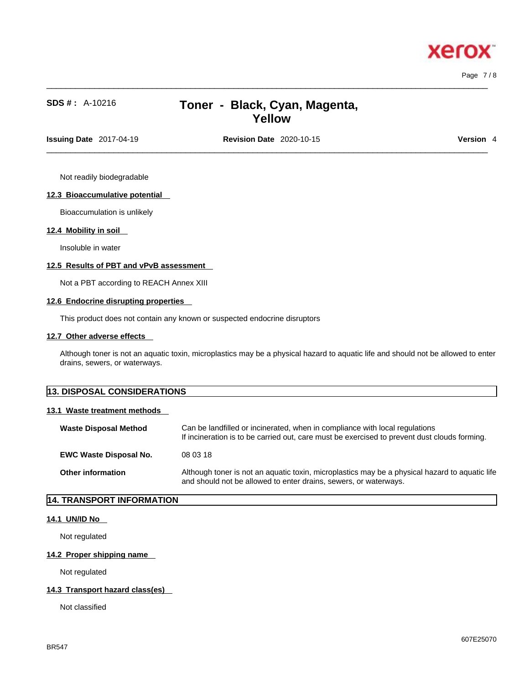**Xero** 

## **SDS # :** A-10216 **Toner - Black, Cyan, Magenta, Yellow**

 $\_$  ,  $\_$  ,  $\_$  ,  $\_$  ,  $\_$  ,  $\_$  ,  $\_$  ,  $\_$  ,  $\_$  ,  $\_$  ,  $\_$  ,  $\_$  ,  $\_$  ,  $\_$  ,  $\_$  ,  $\_$  ,  $\_$  ,  $\_$  ,  $\_$  ,  $\_$  ,  $\_$  ,  $\_$  ,  $\_$  ,  $\_$  ,  $\_$  ,  $\_$  ,  $\_$  ,  $\_$  ,  $\_$  ,  $\_$  ,  $\_$  ,  $\_$  ,  $\_$  ,  $\_$  ,  $\_$  ,  $\_$  ,  $\_$  ,

**Issuing Date** 2017-04-19 **Revision Date** 2020-10-15 **Version** 4

 $\_$  ,  $\_$  ,  $\_$  ,  $\_$  ,  $\_$  ,  $\_$  ,  $\_$  ,  $\_$  ,  $\_$  ,  $\_$  ,  $\_$  ,  $\_$  ,  $\_$  ,  $\_$  ,  $\_$  ,  $\_$  ,  $\_$  ,  $\_$  ,  $\_$  ,  $\_$  ,  $\_$  ,  $\_$  ,  $\_$  ,  $\_$  ,  $\_$  ,  $\_$  ,  $\_$  ,  $\_$  ,  $\_$  ,  $\_$  ,  $\_$  ,  $\_$  ,  $\_$  ,  $\_$  ,  $\_$  ,  $\_$  ,  $\_$  ,

Not readily biodegradable

### **12.3 Bioaccumulative potential**

Bioaccumulation is unlikely

#### **12.4 Mobility in soil**

Insoluble in water

### **12.5 Results of PBT and vPvB assessment**

Not a PBT according to REACH Annex XIII

#### **12.6 Endocrine disrupting properties**

This product does not contain any known or suspected endocrine disruptors

#### **12.7 Other adverse effects**

Although toner is not an aquatic toxin, microplastics may be a physical hazard to aquatic life and should not be allowed to enter drains, sewers, or waterways.

| <b>13. DISPOSAL CONSIDERATIONS</b> |
|------------------------------------|
|------------------------------------|

#### **13.1 Waste treatment methods**

| <b>Waste Disposal Method</b>  | Can be landfilled or incinerated, when in compliance with local regulations<br>If incineration is to be carried out, care must be exercised to prevent dust clouds forming. |
|-------------------------------|-----------------------------------------------------------------------------------------------------------------------------------------------------------------------------|
| <b>EWC Waste Disposal No.</b> | 08 03 18                                                                                                                                                                    |
| <b>Other information</b>      | Although toner is not an aquatic toxin, microplastics may be a physical hazard to aquatic life<br>and should not be allowed to enter drains, sewers, or waterways.          |

## **14. TRANSPORT INFORMATION**

#### **14.1 UN/ID No**

Not regulated

### **14.2 Proper shipping name**

Not regulated

### **14.3 Transport hazard class(es)**

Not classified